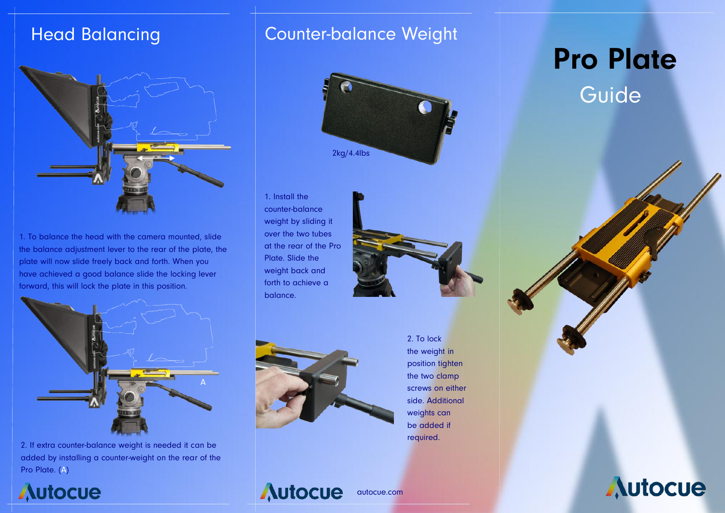## **Head Balancing**



1. To balance the head with the camera mounted, slide the balance adjustment lever to the rear of the plate, the plate will now slide freely back and forth. When you have achieved a good balance slide the locking lever forward, this will lock the plate in this position.



2. If extra counter-balance weight is needed it can be added by installing a counter-weight on the rear of the Pro Plate. (A)

# **Autocue**

### Counter-balance Weight



1. Install the counter-balance weight by sliding it over the two tubes at the rear of the Pro Plate. Slide the weight back and forth to achieve a balance.





2. To lock the weight in position tighten the two clamp screws on either side. Additional weights can be added if required.

**Autocue** 

autocue.com

# **Pro Plate**

Guide

**Autocue**